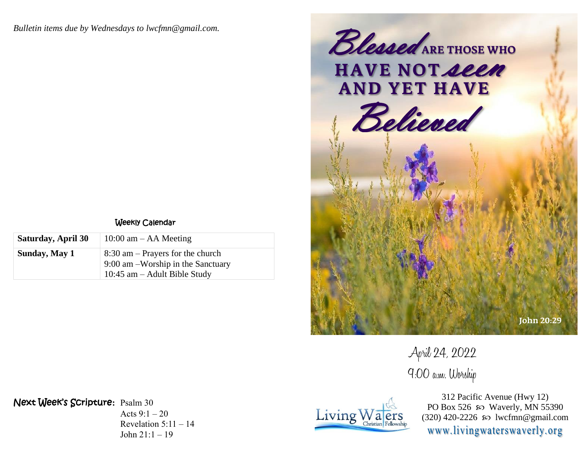*Bulletin items due by Wednesdays to lwcfmn@gmail.com.*



April 24, 2022 9:00 a.m. Worship



312 Pacific Avenue (Hwy 12) PO Box 526  $\infty$  Waverly, MN 55390 (320) 420-2226 lwcfmn@gmail.com www.livingwaterswaverly.org

## Weekly Calendar

| <b>Saturday, April 30</b> | 10:00 am $-$ AA Meeting                                                                                      |
|---------------------------|--------------------------------------------------------------------------------------------------------------|
| Sunday, May 1             | $8:30$ am – Prayers for the church<br>9:00 am – Worship in the Sanctuary<br>$10:45$ am $-$ Adult Bible Study |

Next Week's Scripture**:** Psalm 30

Acts  $9:1 - 20$ Revelation 5:11 – 14 John  $21:1 - 19$